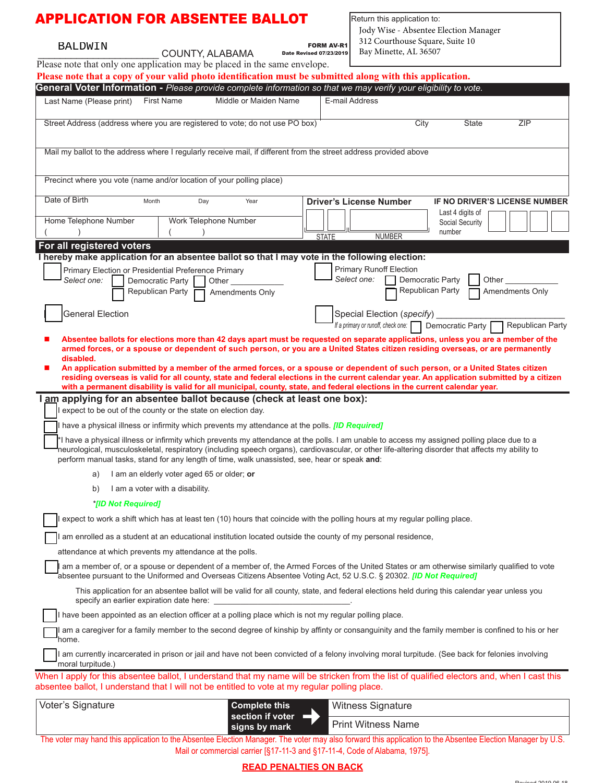| <b>APPLICATION FOR ABSENTEE BALLOT</b>                                                                                                                                                                                                        |                                          |                       |                       |              | Return this application to:<br>Jody Wise - Absentee Election Manager                                                                                                                                                                                                                                                                                                                                      |                  |                               |  |
|-----------------------------------------------------------------------------------------------------------------------------------------------------------------------------------------------------------------------------------------------|------------------------------------------|-----------------------|-----------------------|--------------|-----------------------------------------------------------------------------------------------------------------------------------------------------------------------------------------------------------------------------------------------------------------------------------------------------------------------------------------------------------------------------------------------------------|------------------|-------------------------------|--|
| <b>FORM AV-R1</b><br><b>BALDWIN</b><br>COUNTY, ALABAMA<br><b>Date Revised 07/23/2019</b>                                                                                                                                                      |                                          |                       |                       |              | 312 Courthouse Square, Suite 10<br>Bay Minette, AL 36507                                                                                                                                                                                                                                                                                                                                                  |                  |                               |  |
| Please note that only one application may be placed in the same envelope.                                                                                                                                                                     |                                          |                       |                       |              |                                                                                                                                                                                                                                                                                                                                                                                                           |                  |                               |  |
| Please note that a copy of your valid photo identification must be submitted along with this application.                                                                                                                                     |                                          |                       |                       |              |                                                                                                                                                                                                                                                                                                                                                                                                           |                  |                               |  |
| General Voter Information - Please provide complete information so that we may verify your eligibility to vote.                                                                                                                               |                                          |                       |                       |              |                                                                                                                                                                                                                                                                                                                                                                                                           |                  |                               |  |
| Last Name (Please print)                                                                                                                                                                                                                      | <b>First Name</b>                        |                       | Middle or Maiden Name |              | E-mail Address                                                                                                                                                                                                                                                                                                                                                                                            |                  |                               |  |
| Street Address (address where you are registered to vote; do not use PO box)                                                                                                                                                                  |                                          |                       |                       |              | City                                                                                                                                                                                                                                                                                                                                                                                                      | State            | ZIP                           |  |
| Mail my ballot to the address where I regularly receive mail, if different from the street address provided above                                                                                                                             |                                          |                       |                       |              |                                                                                                                                                                                                                                                                                                                                                                                                           |                  |                               |  |
| Precinct where you vote (name and/or location of your polling place)                                                                                                                                                                          |                                          |                       |                       |              |                                                                                                                                                                                                                                                                                                                                                                                                           |                  |                               |  |
| Date of Birth                                                                                                                                                                                                                                 |                                          |                       |                       |              |                                                                                                                                                                                                                                                                                                                                                                                                           |                  |                               |  |
|                                                                                                                                                                                                                                               | Month                                    | Day                   | Year                  |              | <b>Driver's License Number</b>                                                                                                                                                                                                                                                                                                                                                                            | Last 4 digits of | IF NO DRIVER'S LICENSE NUMBER |  |
| Home Telephone Number                                                                                                                                                                                                                         |                                          | Work Telephone Number |                       |              |                                                                                                                                                                                                                                                                                                                                                                                                           | Social Security  |                               |  |
|                                                                                                                                                                                                                                               |                                          |                       |                       | <b>STATE</b> | <b>NUMBER</b>                                                                                                                                                                                                                                                                                                                                                                                             | number           |                               |  |
| For all registered voters<br>I hereby make application for an absentee ballot so that I may vote in the following election:                                                                                                                   |                                          |                       |                       |              |                                                                                                                                                                                                                                                                                                                                                                                                           |                  |                               |  |
| Primary Election or Presidential Preference Primary                                                                                                                                                                                           |                                          |                       |                       |              | <b>Primary Runoff Election</b>                                                                                                                                                                                                                                                                                                                                                                            |                  |                               |  |
| Select one:                                                                                                                                                                                                                                   | Democratic Party                         | Other                 |                       |              | Select one:                                                                                                                                                                                                                                                                                                                                                                                               | Democratic Party | Other                         |  |
|                                                                                                                                                                                                                                               | Republican Party                         | Amendments Only       |                       |              |                                                                                                                                                                                                                                                                                                                                                                                                           | Republican Party | Amendments Only               |  |
| <b>General Election</b>                                                                                                                                                                                                                       |                                          |                       |                       |              | Special Election (specify)                                                                                                                                                                                                                                                                                                                                                                                |                  | Republican Party              |  |
|                                                                                                                                                                                                                                               |                                          |                       |                       |              | If a primary or runoff, check one: Democratic Party<br>Absentee ballots for elections more than 42 days apart must be requested on separate applications, unless you are a member of the<br>armed forces, or a spouse or dependent of such person, or you are a United States citizen residing overseas, or are permanently                                                                               |                  |                               |  |
| disabled.                                                                                                                                                                                                                                     |                                          |                       |                       |              |                                                                                                                                                                                                                                                                                                                                                                                                           |                  |                               |  |
| ш                                                                                                                                                                                                                                             |                                          |                       |                       |              | An application submitted by a member of the armed forces, or a spouse or dependent of such person, or a United States citizen<br>residing overseas is valid for all county, state and federal elections in the current calendar year. An application submitted by a citizen<br>with a permanent disability is valid for all municipal, county, state, and federal elections in the current calendar year. |                  |                               |  |
| I am applying for an absentee ballot because (check at least one box):<br>expect to be out of the county or the state on election day.                                                                                                        |                                          |                       |                       |              |                                                                                                                                                                                                                                                                                                                                                                                                           |                  |                               |  |
| have a physical illness or infirmity which prevents my attendance at the polls. <i>[ID Required]</i>                                                                                                                                          |                                          |                       |                       |              |                                                                                                                                                                                                                                                                                                                                                                                                           |                  |                               |  |
| perform manual tasks, stand for any length of time, walk unassisted, see, hear or speak and:                                                                                                                                                  |                                          |                       |                       |              | *I have a physical illness or infirmity which prevents my attendance at the polls. I am unable to access my assigned polling place due to a<br>neurological, musculoskeletal, respiratory (including speech organs), cardiovascular, or other life-altering disorder that affects my ability to                                                                                                           |                  |                               |  |
| I am an elderly voter aged 65 or older; or<br>a)                                                                                                                                                                                              |                                          |                       |                       |              |                                                                                                                                                                                                                                                                                                                                                                                                           |                  |                               |  |
| I am a voter with a disability.<br>b)                                                                                                                                                                                                         |                                          |                       |                       |              |                                                                                                                                                                                                                                                                                                                                                                                                           |                  |                               |  |
| *[ID Not Required]                                                                                                                                                                                                                            |                                          |                       |                       |              |                                                                                                                                                                                                                                                                                                                                                                                                           |                  |                               |  |
| expect to work a shift which has at least ten (10) hours that coincide with the polling hours at my regular polling place.                                                                                                                    |                                          |                       |                       |              |                                                                                                                                                                                                                                                                                                                                                                                                           |                  |                               |  |
|                                                                                                                                                                                                                                               |                                          |                       |                       |              | am enrolled as a student at an educational institution located outside the county of my personal residence,                                                                                                                                                                                                                                                                                               |                  |                               |  |
| attendance at which prevents my attendance at the polls.                                                                                                                                                                                      |                                          |                       |                       |              |                                                                                                                                                                                                                                                                                                                                                                                                           |                  |                               |  |
|                                                                                                                                                                                                                                               |                                          |                       |                       |              | am a member of, or a spouse or dependent of a member of, the Armed Forces of the United States or am otherwise similarly qualified to vote<br>absentee pursuant to the Uniformed and Overseas Citizens Absentee Voting Act, 52 U.S.C. § 20302. [ID Not Required]                                                                                                                                          |                  |                               |  |
|                                                                                                                                                                                                                                               | specify an earlier expiration date here: |                       |                       |              | This application for an absentee ballot will be valid for all county, state, and federal elections held during this calendar year unless you                                                                                                                                                                                                                                                              |                  |                               |  |
| I have been appointed as an election officer at a polling place which is not my regular polling place.                                                                                                                                        |                                          |                       |                       |              |                                                                                                                                                                                                                                                                                                                                                                                                           |                  |                               |  |
| home.                                                                                                                                                                                                                                         |                                          |                       |                       |              | am a caregiver for a family member to the second degree of kinship by affinty or consanguinity and the family member is confined to his or her                                                                                                                                                                                                                                                            |                  |                               |  |
| moral turpitude.)                                                                                                                                                                                                                             |                                          |                       |                       |              | I am currently incarcerated in prison or jail and have not been convicted of a felony involving moral turpitude. (See back for felonies involving                                                                                                                                                                                                                                                         |                  |                               |  |
| When I apply for this absentee ballot, I understand that my name will be stricken from the list of qualified electors and, when I cast this<br>absentee ballot, I understand that I will not be entitled to vote at my regular polling place. |                                          |                       |                       |              |                                                                                                                                                                                                                                                                                                                                                                                                           |                  |                               |  |
| Voter's Signature                                                                                                                                                                                                                             |                                          |                       | <b>Complete this</b>  |              | Witness Signature                                                                                                                                                                                                                                                                                                                                                                                         |                  |                               |  |
|                                                                                                                                                                                                                                               |                                          |                       | section if voter      |              | <b>Print Witness Name</b>                                                                                                                                                                                                                                                                                                                                                                                 |                  |                               |  |
|                                                                                                                                                                                                                                               |                                          |                       | signs by mark         |              | The voter may hand this application to the Absentee Election Manager. The voter may also forward this application to the Absentee Election Manager by U.S.                                                                                                                                                                                                                                                |                  |                               |  |

Mail or commercial carrier [§17-11-3 and §17-11-4, Code of Alabama, 1975]. **READ PENALTIES ON BACK**